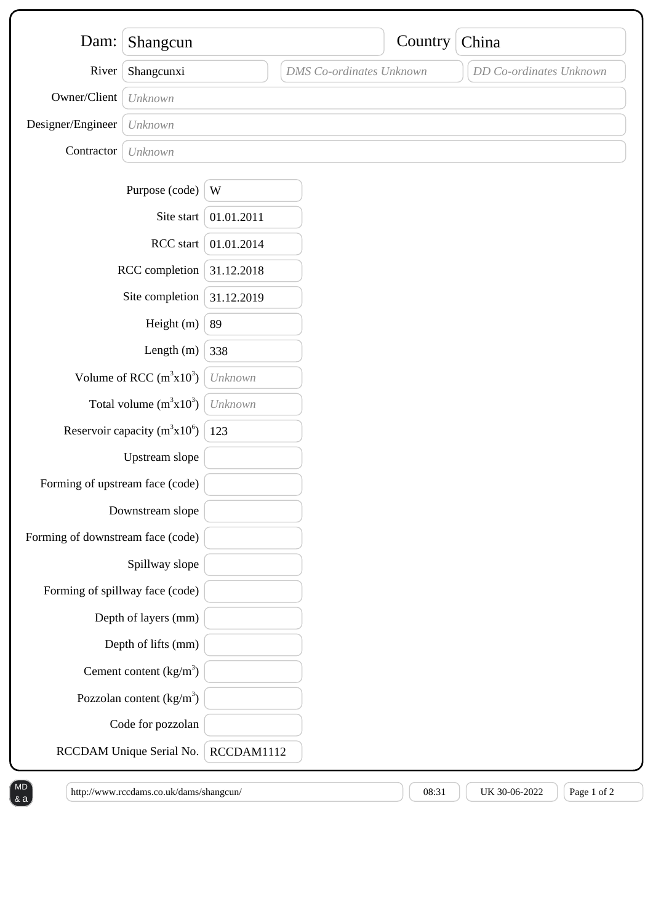| Dam:                              | Shangcun                          |            |                                 | Country | China                   |  |
|-----------------------------------|-----------------------------------|------------|---------------------------------|---------|-------------------------|--|
|                                   |                                   |            |                                 |         |                         |  |
| River                             | Shangcunxi                        |            | <b>DMS</b> Co-ordinates Unknown |         | DD Co-ordinates Unknown |  |
| Owner/Client                      | Unknown                           |            |                                 |         |                         |  |
| Designer/Engineer                 | Unknown                           |            |                                 |         |                         |  |
| Contractor                        | Unknown                           |            |                                 |         |                         |  |
|                                   | Purpose (code)                    | W          |                                 |         |                         |  |
|                                   | Site start                        | 01.01.2011 |                                 |         |                         |  |
|                                   | RCC start                         | 01.01.2014 |                                 |         |                         |  |
| RCC completion                    |                                   | 31.12.2018 |                                 |         |                         |  |
| Site completion                   |                                   | 31.12.2019 |                                 |         |                         |  |
|                                   | Height (m)                        | 89         |                                 |         |                         |  |
|                                   | Length $(m)$                      | 338        |                                 |         |                         |  |
|                                   | Volume of RCC $(m^3x10^3)$        | Unknown    |                                 |         |                         |  |
|                                   | Total volume $(m^3x10^3)$         | Unknown    |                                 |         |                         |  |
|                                   | Reservoir capacity $(m^3x10^6)$   | 123        |                                 |         |                         |  |
|                                   | Upstream slope                    |            |                                 |         |                         |  |
| Forming of upstream face (code)   |                                   |            |                                 |         |                         |  |
|                                   | Downstream slope                  |            |                                 |         |                         |  |
| Forming of downstream face (code) |                                   |            |                                 |         |                         |  |
|                                   | Spillway slope                    |            |                                 |         |                         |  |
| Forming of spillway face (code)   |                                   |            |                                 |         |                         |  |
|                                   | Depth of layers (mm)              |            |                                 |         |                         |  |
|                                   | Depth of lifts (mm)               |            |                                 |         |                         |  |
|                                   | Cement content $(kg/m3)$          |            |                                 |         |                         |  |
|                                   | Pozzolan content $\frac{kg}{m^3}$ |            |                                 |         |                         |  |
|                                   | Code for pozzolan                 |            |                                 |         |                         |  |
|                                   | RCCDAM Unique Serial No.          | RCCDAM1112 |                                 |         |                         |  |

 $8a$